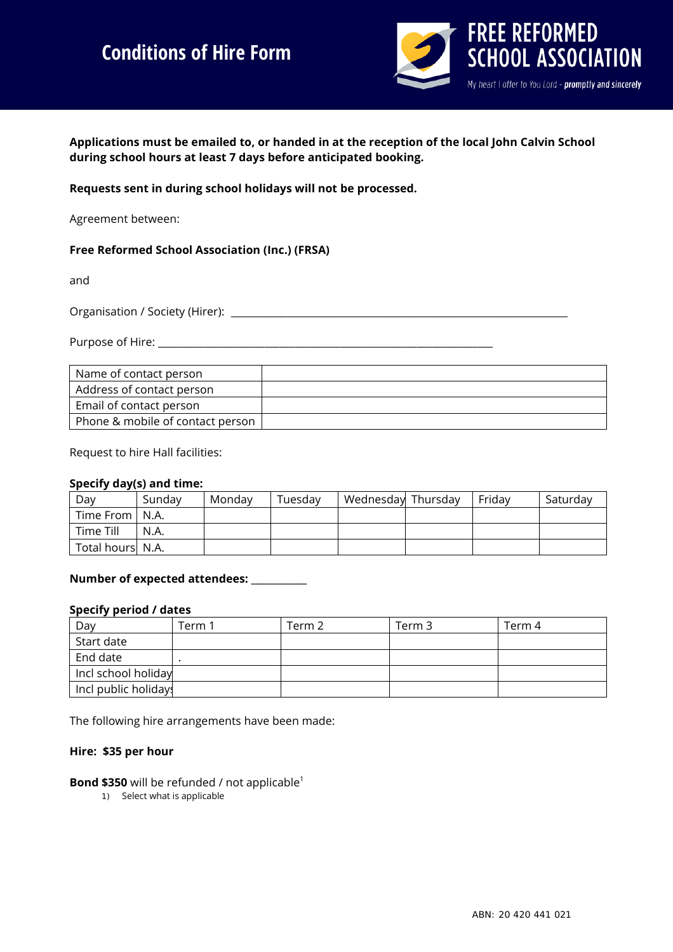# **Conditions of Hire Form**



**Applications must be emailed to, or handed in at the reception of the local John Calvin School during school hours at least 7 days before anticipated booking.** 

**Requests sent in during school holidays will not be processed.** 

Agreement between:

### **Free Reformed School Association (Inc.) (FRSA)**

and

Organisation / Society (Hirer): \_\_\_\_\_\_\_\_\_\_\_\_\_\_\_\_\_\_\_\_\_\_\_\_\_\_\_\_\_\_\_\_\_\_\_\_\_\_\_\_\_\_\_\_\_\_\_\_\_\_\_\_\_\_\_\_\_\_\_\_\_\_\_\_\_\_\_

Purpose of Hire: **Example 20** 

| Name of contact person           |  |
|----------------------------------|--|
| Address of contact person        |  |
| Email of contact person          |  |
| Phone & mobile of contact person |  |

Request to hire Hall facilities:

### **Specify day(s) and time:**

| Dav              | Sunday | Mondav | Tuesdav | Wednesday Thursday | <b>Fridav</b> | Saturday |
|------------------|--------|--------|---------|--------------------|---------------|----------|
| Time From   N.A. |        |        |         |                    |               |          |
| Time Till        | N.A.   |        |         |                    |               |          |
| Total hours N.A. |        |        |         |                    |               |          |

### **Number of expected attendees: \_\_\_\_\_\_\_\_\_\_\_\_**

#### **Specify period / dates**

| Day                  | Term 1 | Term 2 | Term 3 | Term 4 |
|----------------------|--------|--------|--------|--------|
| Start date           |        |        |        |        |
| End date             |        |        |        |        |
| Incl school holiday  |        |        |        |        |
| Incl public holiday: |        |        |        |        |

The following hire arrangements have been made:

### **Hire: \$35 per hour**

**Bond \$350** will be refunded / not applicable<sup>1</sup>

1) Select what is applicable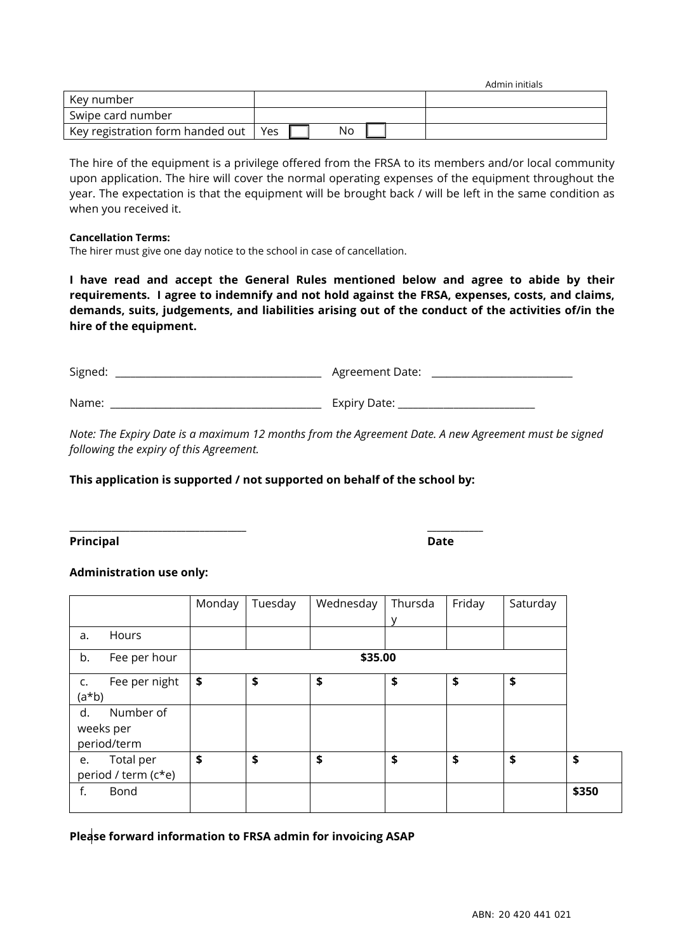| Key number                       |     |  |    |  |  |
|----------------------------------|-----|--|----|--|--|
| Swipe card number                |     |  |    |  |  |
| Key registration form handed out | Yes |  | No |  |  |

The hire of the equipment is a privilege offered from the FRSA to its members and/or local community upon application. The hire will cover the normal operating expenses of the equipment throughout the year. The expectation is that the equipment will be brought back / will be left in the same condition as when you received it.

#### **Cancellation Terms:**

The hirer must give one day notice to the school in case of cancellation.

**I have read and accept the General Rules mentioned below and agree to abide by their requirements. I agree to indemnify and not hold against the FRSA, expenses, costs, and claims, demands, suits, judgements, and liabilities arising out of the conduct of the activities of/in the hire of the equipment.** 

| Signed: | Agreement Date: |
|---------|-----------------|
| Name:   | Expiry Date:    |

*Note: The Expiry Date is a maximum 12 months from the Agreement Date. A new Agreement must be signed following the expiry of this Agreement.*

### **This application is supported / not supported on behalf of the school by:**

**\_\_\_\_\_\_\_\_\_\_\_\_\_\_\_\_\_\_\_\_\_\_\_\_\_\_\_\_\_\_\_\_\_\_\_\_\_\_ \_\_\_\_\_\_\_\_\_\_\_\_**

**Principal Date**

### **Administration use only:**

|           |                     | Monday | Tuesday | Wednesday | Thursda | Friday | Saturday |       |  |
|-----------|---------------------|--------|---------|-----------|---------|--------|----------|-------|--|
|           |                     |        |         |           | v       |        |          |       |  |
| a.        | Hours               |        |         |           |         |        |          |       |  |
| b.        | Fee per hour        |        | \$35.00 |           |         |        |          |       |  |
| c.        | Fee per night       | \$     | \$      | \$        | \$      | \$     | \$       |       |  |
| $(a * b)$ |                     |        |         |           |         |        |          |       |  |
| d.        | Number of           |        |         |           |         |        |          |       |  |
|           | weeks per           |        |         |           |         |        |          |       |  |
|           | period/term         |        |         |           |         |        |          |       |  |
| e.        | Total per           | \$     | \$      | \$        | \$      | \$     | \$       | \$    |  |
|           | period / term (c*e) |        |         |           |         |        |          |       |  |
| f.        | Bond                |        |         |           |         |        |          | \$350 |  |

**Please forward information to FRSA admin for invoicing ASAP**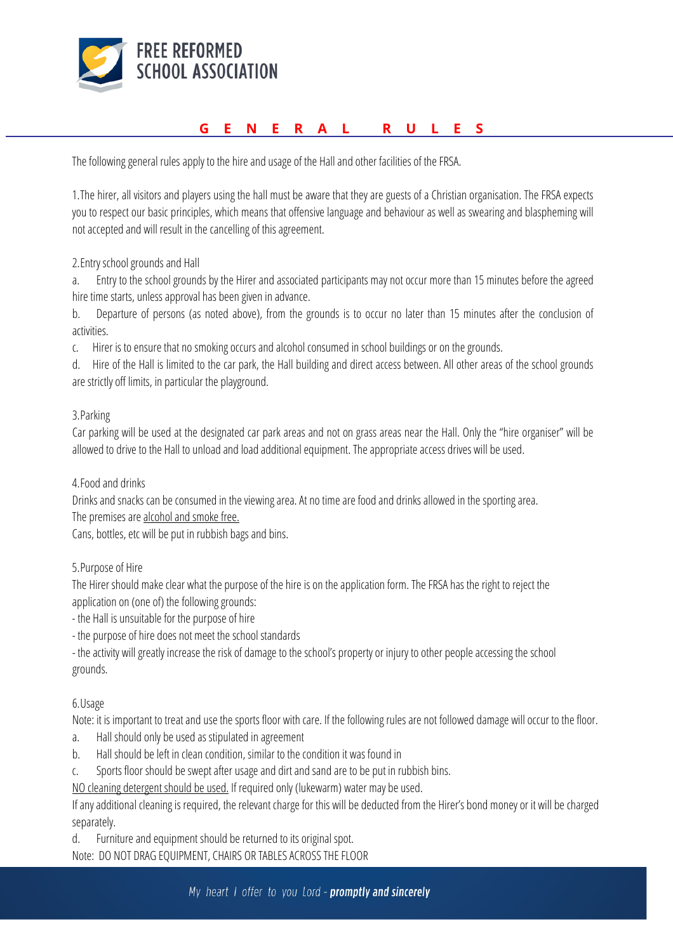

# **GENERAL RULES**

The following general rules apply to the hire and usage of the Hall and other facilities of the FRSA.

1.The hirer, all visitors and players using the hall must be aware that they are guests of a Christian organisation. The FRSA expects you to respect our basic principles, which means that offensive language and behaviour as well as swearing and blaspheming will not accepted and will result in the cancelling of this agreement.

2.Entry school grounds and Hall

a. Entry to the school grounds by the Hirer and associated participants may not occur more than 15 minutes before the agreed hire time starts, unless approval has been given in advance.

b. Departure of persons (as noted above), from the grounds is to occur no later than 15 minutes after the conclusion of activities.

c. Hirer is to ensure that no smoking occurs and alcohol consumed in school buildings or on the grounds.

d. Hire of the Hall is limited to the car park, the Hall building and direct access between. All other areas of the school grounds are strictly off limits, in particular the playground.

### 3.Parking

Car parking will be used at the designated car park areas and not on grass areas near the Hall. Only the "hire organiser" will be allowed to drive to the Hall to unload and load additional equipment. The appropriate access drives will be used.

### 4.Food and drinks

Drinks and snacks can be consumed in the viewing area. At no time are food and drinks allowed in the sporting area.

The premises are alcohol and smoke free.

Cans, bottles, etc will be put in rubbish bags and bins.

### 5.Purpose of Hire

The Hirer should make clear what the purpose of the hire is on the application form. The FRSA has the right to reject the application on (one of) the following grounds:

- the Hall is unsuitable for the purpose of hire

- the purpose of hire does not meet the school standards

- the activity will greatly increase the risk of damage to the school's property or injury to other people accessing the school grounds.

### 6.Usage

Note: it is important to treat and use the sports floor with care. If the following rules are not followed damage will occur to the floor.

- a. Hall should only be used as stipulated in agreement
- b. Hall should be left in clean condition, similar to the condition it was found in
- c. Sports floor should be swept after usage and dirt and sand are to be put in rubbish bins.

NO cleaning detergent should be used. If required only (lukewarm) water may be used.

If any additional cleaning is required, the relevant charge for this will be deducted from the Hirer's bond money or it will be charged separately.

d. Furniture and equipment should be returned to its original spot.

Note: DO NOT DRAG EQUIPMENT, CHAIRS OR TABLES ACROSS THE FLOOR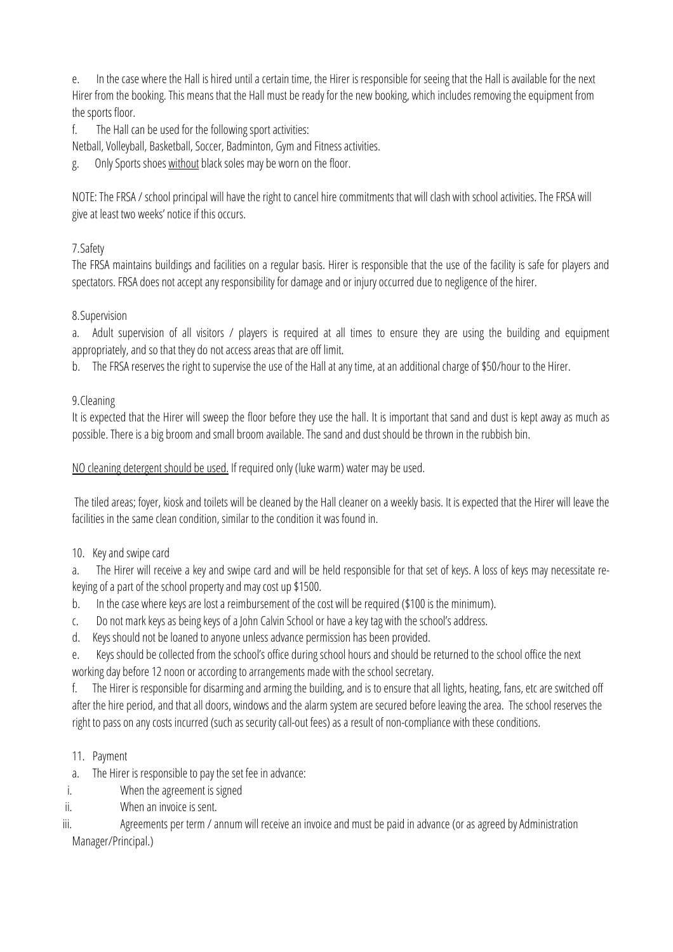e. In the case where the Hall is hired until a certain time, the Hirer is responsible for seeing that the Hall is available for the next Hirer from the booking. This means that the Hall must be ready for the new booking, which includes removing the equipment from the sports floor.

f. The Hall can be used for the following sport activities:

Netball, Volleyball, Basketball, Soccer, Badminton, Gym and Fitness activities.

Only Sports shoes without black soles may be worn on the floor.

NOTE: The FRSA / school principal will have the right to cancel hire commitments that will clash with school activities. The FRSA will give at least two weeks' notice if this occurs.

# 7.Safety

The FRSA maintains buildings and facilities on a regular basis. Hirer is responsible that the use of the facility is safe for players and spectators. FRSA does not accept any responsibility for damage and or injury occurred due to negligence of the hirer.

# 8.Supervision

a. Adult supervision of all visitors / players is required at all times to ensure they are using the building and equipment appropriately, and so that they do not access areas that are off limit.

b. The FRSA reserves the right to supervise the use of the Hall at any time, at an additional charge of \$50/hour to the Hirer.

# 9.Cleaning

It is expected that the Hirer will sweep the floor before they use the hall. It is important that sand and dust is kept away as much as possible. There is a big broom and small broom available. The sand and dust should be thrown in the rubbish bin.

NO cleaning detergent should be used. If required only (luke warm) water may be used.

The tiled areas; foyer, kiosk and toilets will be cleaned by the Hall cleaner on a weekly basis. It is expected that the Hirer will leave the facilities in the same clean condition, similar to the condition it was found in.

10. Key and swipe card

a. The Hirer will receive a key and swipe card and will be held responsible for that set of keys. A loss of keys may necessitate rekeying of a part of the school property and may cost up \$1500.

- b. In the case where keys are lost a reimbursement of the cost will be required (\$100 is the minimum).
- c. Do not mark keys as being keys of a John Calvin School or have a key tag with the school's address.
- d. Keys should not be loaned to anyone unless advance permission has been provided.

e. Keys should be collected from the school's office during school hours and should be returned to the school office the next working day before 12 noon or according to arrangements made with the school secretary.

f. The Hirer is responsible for disarming and arming the building, and is to ensure that all lights, heating, fans, etc are switched off after the hire period, and that all doors, windows and the alarm system are secured before leaving the area. The school reserves the right to pass on any costs incurred (such as security call-out fees) as a result of non-compliance with these conditions.

- 11. Payment
- a. The Hirer is responsible to pay the set fee in advance:
- i. When the agreement is signed
- ii. When an invoice is sent.

iii. Agreements per term / annum will receive an invoice and must be paid in advance (or as agreed by Administration Manager/Principal.)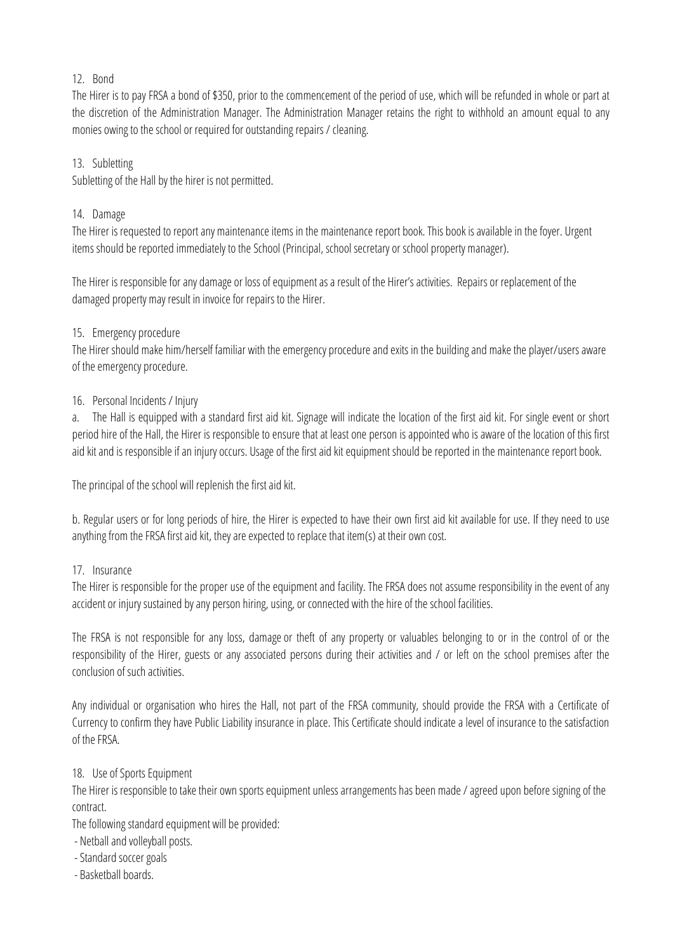# 12. Bond

The Hirer is to pay FRSA a bond of \$350, prior to the commencement of the period of use, which will be refunded in whole or part at the discretion of the Administration Manager. The Administration Manager retains the right to withhold an amount equal to any monies owing to the school or required for outstanding repairs / cleaning.

# 13. Subletting

Subletting of the Hall by the hirer is not permitted.

# 14. Damage

The Hirer is requested to report any maintenance items in the maintenance report book. This book is available in the foyer. Urgent items should be reported immediately to the School (Principal, school secretary or school property manager).

The Hirer is responsible for any damage or loss of equipment as a result of the Hirer's activities. Repairs or replacement of the damaged property may result in invoice for repairs to the Hirer.

# 15. Emergency procedure

The Hirer should make him/herself familiar with the emergency procedure and exits in the building and make the player/users aware of the emergency procedure.

# 16. Personal Incidents / Injury

a. The Hall is equipped with a standard first aid kit. Signage will indicate the location of the first aid kit. For single event or short period hire of the Hall, the Hirer is responsible to ensure that at least one person is appointed who is aware of the location of this first aid kit and is responsible if an injury occurs. Usage of the first aid kit equipment should be reported in the maintenance report book.

The principal of the school will replenish the first aid kit.

b. Regular users or for long periods of hire, the Hirer is expected to have their own first aid kit available for use. If they need to use anything from the FRSA first aid kit, they are expected to replace that item(s) at their own cost.

# 17. Insurance

The Hirer is responsible for the proper use of the equipment and facility. The FRSA does not assume responsibility in the event of any accident or injury sustained by any person hiring, using, or connected with the hire of the school facilities.

The FRSA is not responsible for any loss, damage or theft of any property or valuables belonging to or in the control of or the responsibility of the Hirer, guests or any associated persons during their activities and / or left on the school premises after the conclusion of such activities.

Any individual or organisation who hires the Hall, not part of the FRSA community, should provide the FRSA with a Certificate of Currency to confirm they have Public Liability insurance in place. This Certificate should indicate a level of insurance to the satisfaction of the FRSA.

### 18. Use of Sports Equipment

The Hirer is responsible to take their own sports equipment unless arrangements has been made / agreed upon before signing of the contract.

The following standard equipment will be provided:

- Netball and volleyball posts.
- -Standard soccer goals
- Basketball boards.